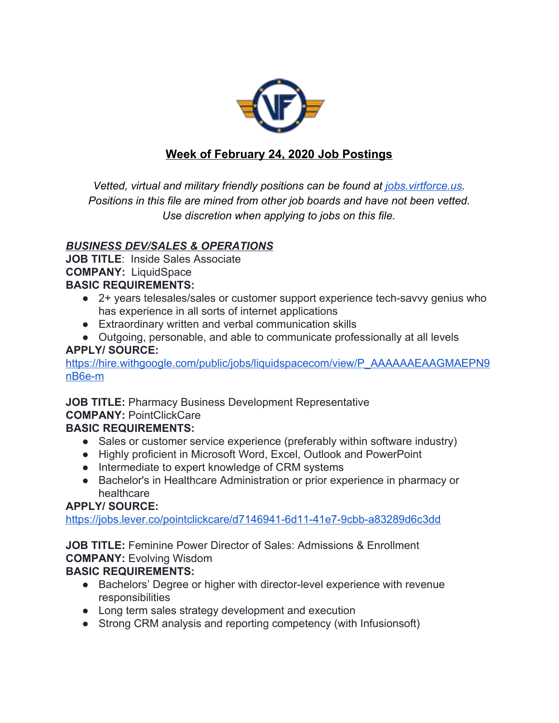

# **Week of February 24, 2020 Job Postings**

*Vetted, virtual and military friendly positions can be found at <i>[jobs.virtforce.us](https://jobs.virtforce.us/). Positions in this file are mined from other job boards and have not been vetted. Use discretion when applying to jobs on this file.*

# *BUSINESS DEV/SALES & OPERATIONS*

**JOB TITLE**: Inside Sales Associate **COMPANY:** LiquidSpace **BASIC REQUIREMENTS:**

- 2+ years telesales/sales or customer support experience tech-savvy genius who has experience in all sorts of internet applications
- Extraordinary written and verbal communication skills
- Outgoing, personable, and able to communicate professionally at all levels **APPLY/ SOURCE:**

[https://hire.withgoogle.com/public/jobs/liquidspacecom/view/P\\_AAAAAAEAAGMAEPN9](https://hire.withgoogle.com/public/jobs/liquidspacecom/view/P_AAAAAAEAAGMAEPN9nB6e-m) [nB6e-m](https://hire.withgoogle.com/public/jobs/liquidspacecom/view/P_AAAAAAEAAGMAEPN9nB6e-m)

**JOB TITLE:** Pharmacy Business Development Representative **COMPANY:** PointClickCare

# **BASIC REQUIREMENTS:**

- Sales or customer service experience (preferably within software industry)
- Highly proficient in Microsoft Word, Excel, Outlook and PowerPoint
- Intermediate to expert knowledge of CRM systems
- Bachelor's in Healthcare Administration or prior experience in pharmacy or healthcare

# **APPLY/ SOURCE:**

<https://jobs.lever.co/pointclickcare/d7146941-6d11-41e7-9cbb-a83289d6c3dd>

**JOB TITLE:** Feminine Power Director of Sales: Admissions & Enrollment **COMPANY:** Evolving Wisdom

- Bachelors' Degree or higher with director-level experience with revenue responsibilities
- Long term sales strategy development and execution
- Strong CRM analysis and reporting competency (with Infusionsoft)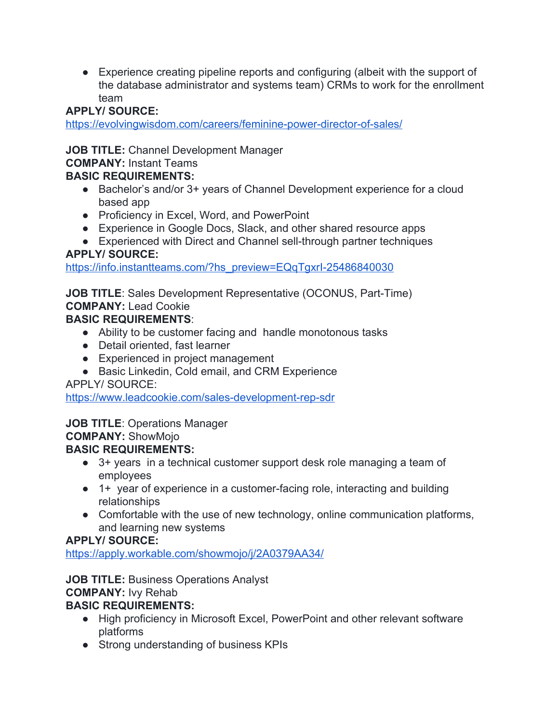● Experience creating pipeline reports and configuring (albeit with the support of the database administrator and systems team) CRMs to work for the enrollment team

# **APPLY/ SOURCE:**

<https://evolvingwisdom.com/careers/feminine-power-director-of-sales/>

# **JOB TITLE:** Channel Development Manager

# **COMPANY:** Instant Teams

# **BASIC REQUIREMENTS:**

- Bachelor's and/or 3+ years of Channel Development experience for a cloud based app
- Proficiency in Excel, Word, and PowerPoint
- Experience in Google Docs, Slack, and other shared resource apps
- Experienced with Direct and Channel sell-through partner techniques

# **APPLY/ SOURCE:**

[https://info.instantteams.com/?hs\\_preview=EQqTgxrI-25486840030](https://info.instantteams.com/?hs_preview=EQqTgxrI-25486840030)

# **JOB TITLE**: Sales Development Representative (OCONUS, Part-Time)

**COMPANY:** Lead Cookie

# **BASIC REQUIREMENTS**:

- Ability to be customer facing and handle monotonous tasks
- Detail oriented, fast learner
- Experienced in project management
- Basic Linkedin, Cold email, and CRM Experience

APPLY/ SOURCE:

<https://www.leadcookie.com/sales-development-rep-sdr>

# **JOB TITLE**: Operations Manager

# **COMPANY:** ShowMojo

# **BASIC REQUIREMENTS:**

- 3+ years in a technical customer support desk role managing a team of employees
- 1+ year of experience in a customer-facing role, interacting and building relationships
- Comfortable with the use of new technology, online communication platforms, and learning new systems

# **APPLY/ SOURCE:**

<https://apply.workable.com/showmojo/j/2A0379AA34/>

**JOB TITLE:** Business Operations Analyst **COMPANY:** Ivy Rehab

- High proficiency in Microsoft Excel, PowerPoint and other relevant software platforms
- Strong understanding of business KPIs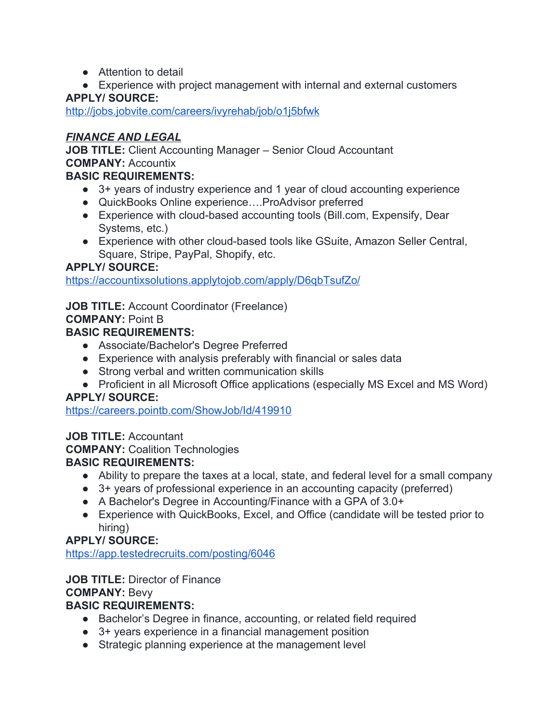- Attention to detail
- Experience with project management with internal and external customers

<http://jobs.jobvite.com/careers/ivyrehab/job/o1j5bfwk>

#### *FINANCE AND LEGAL*

**JOB TITLE:** Client Accounting Manager – Senior Cloud Accountant **COMPANY:** Accountix

# **BASIC REQUIREMENTS:**

- 3+ years of industry experience and 1 year of cloud accounting experience
- QuickBooks Online experience….ProAdvisor preferred
- Experience with cloud-based accounting tools (Bill.com, Expensify, Dear Systems, etc.)
- Experience with other cloud-based tools like GSuite, Amazon Seller Central, Square, Stripe, PayPal, Shopify, etc.

# **APPLY/ SOURCE:**

<https://accountixsolutions.applytojob.com/apply/D6qbTsufZo/>

**JOB TITLE:** Account Coordinator (Freelance)

#### **COMPANY:** Point B

#### **BASIC REQUIREMENTS:**

- Associate/Bachelor's Degree Preferred
- Experience with analysis preferably with financial or sales data
- Strong verbal and written communication skills
- Proficient in all Microsoft Office applications (especially MS Excel and MS Word)

# **APPLY/ SOURCE:**

<https://careers.pointb.com/ShowJob/Id/419910>

# **JOB TITLE:** Accountant

**COMPANY:** Coalition Technologies

# **BASIC REQUIREMENTS:**

- Ability to prepare the taxes at a local, state, and federal level for a small company
- 3+ years of professional experience in an accounting capacity (preferred)
- A Bachelor's Degree in Accounting/Finance with a GPA of 3.0+
- Experience with QuickBooks, Excel, and Office (candidate will be tested prior to hiring)

# **APPLY/ SOURCE:**

<https://app.testedrecruits.com/posting/6046>

# **JOB TITLE:** Director of Finance

# **COMPANY:** Bevy

- Bachelor's Degree in finance, accounting, or related field required
- 3+ years experience in a financial management position
- Strategic planning experience at the management level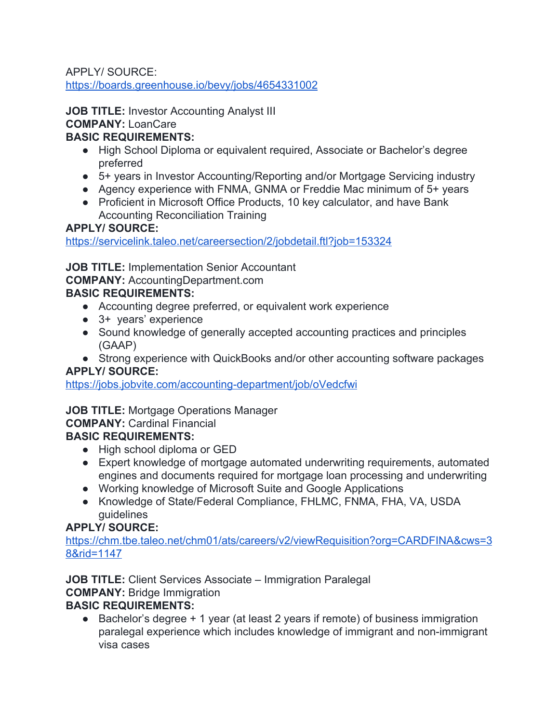<https://boards.greenhouse.io/bevy/jobs/4654331002>

**JOB TITLE: Investor Accounting Analyst III COMPANY:** LoanCare

# **BASIC REQUIREMENTS:**

- High School Diploma or equivalent required, Associate or Bachelor's degree preferred
- 5+ years in Investor Accounting/Reporting and/or Mortgage Servicing industry
- Agency experience with FNMA, GNMA or Freddie Mac minimum of 5+ years
- Proficient in Microsoft Office Products, 10 key calculator, and have Bank Accounting Reconciliation Training

# **APPLY/ SOURCE:**

<https://servicelink.taleo.net/careersection/2/jobdetail.ftl?job=153324>

**JOB TITLE:** Implementation Senior Accountant

**COMPANY:** AccountingDepartment.com

# **BASIC REQUIREMENTS:**

- Accounting degree preferred, or equivalent work experience
- 3+ years' experience
- Sound knowledge of generally accepted accounting practices and principles (GAAP)
- Strong experience with QuickBooks and/or other accounting software packages

# **APPLY/ SOURCE:**

<https://jobs.jobvite.com/accounting-department/job/oVedcfwi>

# **JOB TITLE:** Mortgage Operations Manager

# **COMPANY:** Cardinal Financial

# **BASIC REQUIREMENTS:**

- High school diploma or GED
- Expert knowledge of mortgage automated underwriting requirements, automated engines and documents required for mortgage loan processing and underwriting
- Working knowledge of Microsoft Suite and Google Applications
- Knowledge of State/Federal Compliance, FHLMC, FNMA, FHA, VA, USDA guidelines

# **APPLY/ SOURCE:**

[https://chm.tbe.taleo.net/chm01/ats/careers/v2/viewRequisition?org=CARDFINA&cws=3](https://chm.tbe.taleo.net/chm01/ats/careers/v2/viewRequisition?org=CARDFINA&cws=38&rid=1147) [8&rid=1147](https://chm.tbe.taleo.net/chm01/ats/careers/v2/viewRequisition?org=CARDFINA&cws=38&rid=1147)

**JOB TITLE:** Client Services Associate – Immigration Paralegal **COMPANY:** Bridge Immigration

# **BASIC REQUIREMENTS:**

● Bachelor's degree + 1 year (at least 2 years if remote) of business immigration paralegal experience which includes knowledge of immigrant and non-immigrant visa cases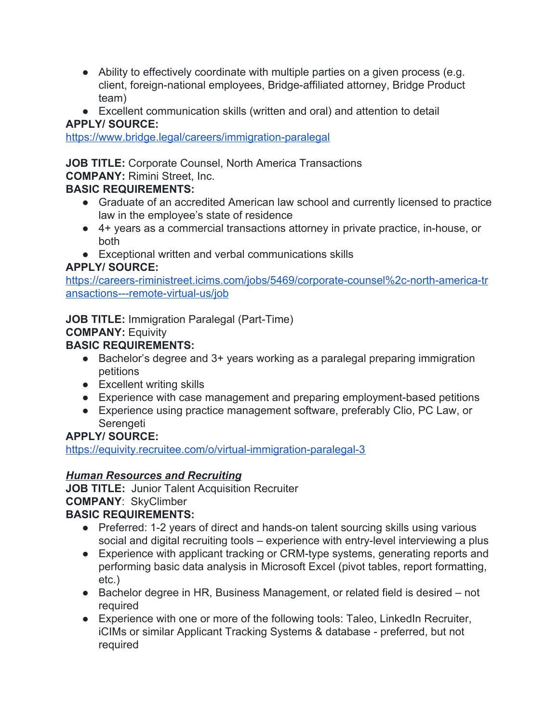- Ability to effectively coordinate with multiple parties on a given process (e.g. client, foreign-national employees, Bridge-affiliated attorney, Bridge Product team)
- Excellent communication skills (written and oral) and attention to detail **APPLY/ SOURCE:**

<https://www.bridge.legal/careers/immigration-paralegal>

**JOB TITLE:** Corporate Counsel, North America Transactions

**COMPANY:** Rimini Street, Inc.

# **BASIC REQUIREMENTS:**

- Graduate of an accredited American law school and currently licensed to practice law in the employee's state of residence
- 4+ years as a commercial transactions attorney in private practice, in-house, or both
- Exceptional written and verbal communications skills

#### **APPLY/ SOURCE:**

[https://careers-riministreet.icims.com/jobs/5469/corporate-counsel%2c-north-america-tr](https://careers-riministreet.icims.com/jobs/5469/corporate-counsel%2c-north-america-transactions---remote-virtual-us/job) [ansactions---remote-virtual-us/job](https://careers-riministreet.icims.com/jobs/5469/corporate-counsel%2c-north-america-transactions---remote-virtual-us/job)

**JOB TITLE:** Immigration Paralegal (Part-Time)

# **COMPANY:** Equivity

# **BASIC REQUIREMENTS:**

- Bachelor's degree and 3+ years working as a paralegal preparing immigration petitions
- Excellent writing skills
- Experience with case management and preparing employment-based petitions
- Experience using practice management software, preferably Clio, PC Law, or Serengeti

# **APPLY/ SOURCE:**

<https://equivity.recruitee.com/o/virtual-immigration-paralegal-3>

# *Human Resources and Recruiting*

**JOB TITLE:** Junior Talent Acquisition Recruiter **COMPANY**: SkyClimber

- Preferred: 1-2 years of direct and hands-on talent sourcing skills using various social and digital recruiting tools – experience with entry-level interviewing a plus
- Experience with applicant tracking or CRM-type systems, generating reports and performing basic data analysis in Microsoft Excel (pivot tables, report formatting, etc.)
- Bachelor degree in HR, Business Management, or related field is desired not required
- Experience with one or more of the following tools: Taleo, LinkedIn Recruiter, iCIMs or similar Applicant Tracking Systems & database - preferred, but not required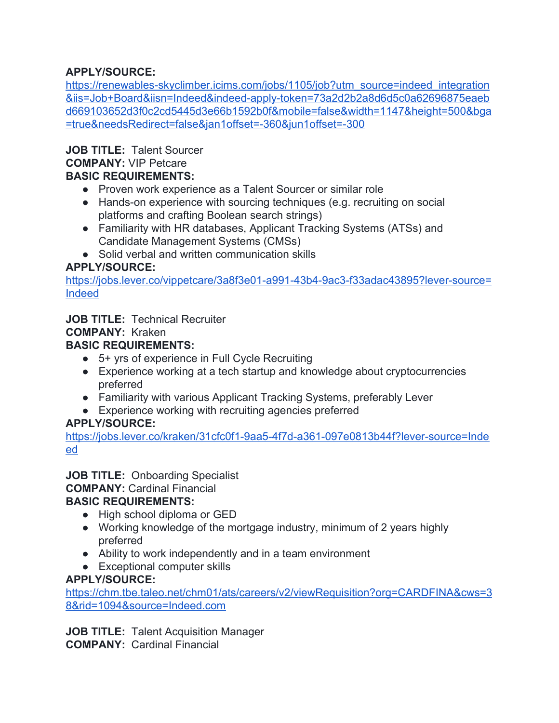[https://renewables-skyclimber.icims.com/jobs/1105/job?utm\\_source=indeed\\_integration](https://renewables-skyclimber.icims.com/jobs/1105/job?utm_source=indeed_integration&iis=Job+Board&iisn=Indeed&indeed-apply-token=73a2d2b2a8d6d5c0a62696875eaebd669103652d3f0c2cd5445d3e66b1592b0f&mobile=false&width=1147&height=500&bga=true&needsRedirect=false&jan1offset=-360&jun1offset=-300) [&iis=Job+Board&iisn=Indeed&indeed-apply-token=73a2d2b2a8d6d5c0a62696875eaeb](https://renewables-skyclimber.icims.com/jobs/1105/job?utm_source=indeed_integration&iis=Job+Board&iisn=Indeed&indeed-apply-token=73a2d2b2a8d6d5c0a62696875eaebd669103652d3f0c2cd5445d3e66b1592b0f&mobile=false&width=1147&height=500&bga=true&needsRedirect=false&jan1offset=-360&jun1offset=-300) [d669103652d3f0c2cd5445d3e66b1592b0f&mobile=false&width=1147&height=500&bga](https://renewables-skyclimber.icims.com/jobs/1105/job?utm_source=indeed_integration&iis=Job+Board&iisn=Indeed&indeed-apply-token=73a2d2b2a8d6d5c0a62696875eaebd669103652d3f0c2cd5445d3e66b1592b0f&mobile=false&width=1147&height=500&bga=true&needsRedirect=false&jan1offset=-360&jun1offset=-300) [=true&needsRedirect=false&jan1offset=-360&jun1offset=-300](https://renewables-skyclimber.icims.com/jobs/1105/job?utm_source=indeed_integration&iis=Job+Board&iisn=Indeed&indeed-apply-token=73a2d2b2a8d6d5c0a62696875eaebd669103652d3f0c2cd5445d3e66b1592b0f&mobile=false&width=1147&height=500&bga=true&needsRedirect=false&jan1offset=-360&jun1offset=-300)

**JOB TITLE:** Talent Sourcer

# **COMPANY:** VIP Petcare

# **BASIC REQUIREMENTS:**

- Proven work experience as a Talent Sourcer or similar role
- Hands-on experience with sourcing techniques (e.g. recruiting on social platforms and crafting Boolean search strings)
- Familiarity with HR databases, Applicant Tracking Systems (ATSs) and Candidate Management Systems (CMSs)
- Solid verbal and written communication skills

# **APPLY/SOURCE:**

[https://jobs.lever.co/vippetcare/3a8f3e01-a991-43b4-9ac3-f33adac43895?lever-source=](https://jobs.lever.co/vippetcare/3a8f3e01-a991-43b4-9ac3-f33adac43895?lever-source=Indeed) [Indeed](https://jobs.lever.co/vippetcare/3a8f3e01-a991-43b4-9ac3-f33adac43895?lever-source=Indeed)

# **JOB TITLE:** Technical Recruiter

#### **COMPANY:** Kraken

# **BASIC REQUIREMENTS:**

- 5+ yrs of experience in Full Cycle Recruiting
- Experience working at a tech startup and knowledge about cryptocurrencies preferred
- Familiarity with various Applicant Tracking Systems, preferably Lever
- Experience working with recruiting agencies preferred

#### **APPLY/SOURCE:**

[https://jobs.lever.co/kraken/31cfc0f1-9aa5-4f7d-a361-097e0813b44f?lever-source=Inde](https://jobs.lever.co/kraken/31cfc0f1-9aa5-4f7d-a361-097e0813b44f?lever-source=Indeed) [ed](https://jobs.lever.co/kraken/31cfc0f1-9aa5-4f7d-a361-097e0813b44f?lever-source=Indeed)

**JOB TITLE:** Onboarding Specialist **COMPANY:** Cardinal Financial

# **BASIC REQUIREMENTS:**

- High school diploma or GED
- Working knowledge of the mortgage industry, minimum of 2 years highly preferred
- Ability to work independently and in a team environment
- Exceptional computer skills

#### **APPLY/SOURCE:**

[https://chm.tbe.taleo.net/chm01/ats/careers/v2/viewRequisition?org=CARDFINA&cws=3](https://chm.tbe.taleo.net/chm01/ats/careers/v2/viewRequisition?org=CARDFINA&cws=38&rid=1094&source=Indeed.com) [8&rid=1094&source=Indeed.com](https://chm.tbe.taleo.net/chm01/ats/careers/v2/viewRequisition?org=CARDFINA&cws=38&rid=1094&source=Indeed.com)

**JOB TITLE:** Talent Acquisition Manager **COMPANY:** Cardinal Financial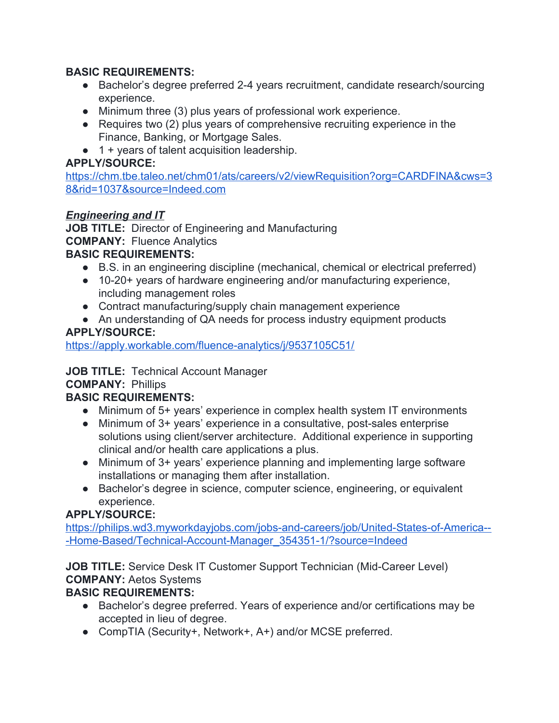#### **BASIC REQUIREMENTS:**

- Bachelor's degree preferred 2-4 years recruitment, candidate research/sourcing experience.
- Minimum three (3) plus years of professional work experience.
- Requires two (2) plus years of comprehensive recruiting experience in the Finance, Banking, or Mortgage Sales.
- 1 + years of talent acquisition leadership.

# **APPLY/SOURCE:**

[https://chm.tbe.taleo.net/chm01/ats/careers/v2/viewRequisition?org=CARDFINA&cws=3](https://chm.tbe.taleo.net/chm01/ats/careers/v2/viewRequisition?org=CARDFINA&cws=38&rid=1037&source=Indeed.com) [8&rid=1037&source=Indeed.com](https://chm.tbe.taleo.net/chm01/ats/careers/v2/viewRequisition?org=CARDFINA&cws=38&rid=1037&source=Indeed.com)

# *Engineering and IT*

**JOB TITLE:** Director of Engineering and Manufacturing **COMPANY:** Fluence Analytics

#### **BASIC REQUIREMENTS:**

- B.S. in an engineering discipline (mechanical, chemical or electrical preferred)
- 10-20+ years of hardware engineering and/or manufacturing experience, including management roles
- Contract manufacturing/supply chain management experience
- An understanding of QA needs for process industry equipment products

# **APPLY/SOURCE:**

<https://apply.workable.com/fluence-analytics/j/9537105C51/>

# **JOB TITLE:** Technical Account Manager

#### **COMPANY:** Phillips

# **BASIC REQUIREMENTS:**

- Minimum of 5+ years' experience in complex health system IT environments
- Minimum of 3+ years' experience in a consultative, post-sales enterprise solutions using client/server architecture. Additional experience in supporting clinical and/or health care applications a plus.
- Minimum of 3+ years' experience planning and implementing large software installations or managing them after installation.
- Bachelor's degree in science, computer science, engineering, or equivalent experience.

# **APPLY/SOURCE:**

[https://philips.wd3.myworkdayjobs.com/jobs-and-careers/job/United-States-of-America--](https://philips.wd3.myworkdayjobs.com/jobs-and-careers/job/United-States-of-America---Home-Based/Technical-Account-Manager_354351-1/?source=Indeed) [-Home-Based/Technical-Account-Manager\\_354351-1/?source=Indeed](https://philips.wd3.myworkdayjobs.com/jobs-and-careers/job/United-States-of-America---Home-Based/Technical-Account-Manager_354351-1/?source=Indeed)

**JOB TITLE:** Service Desk IT Customer Support Technician (Mid-Career Level) **COMPANY:** Aetos Systems

- Bachelor's degree preferred. Years of experience and/or certifications may be accepted in lieu of degree.
- CompTIA (Security+, Network+, A+) and/or MCSE preferred.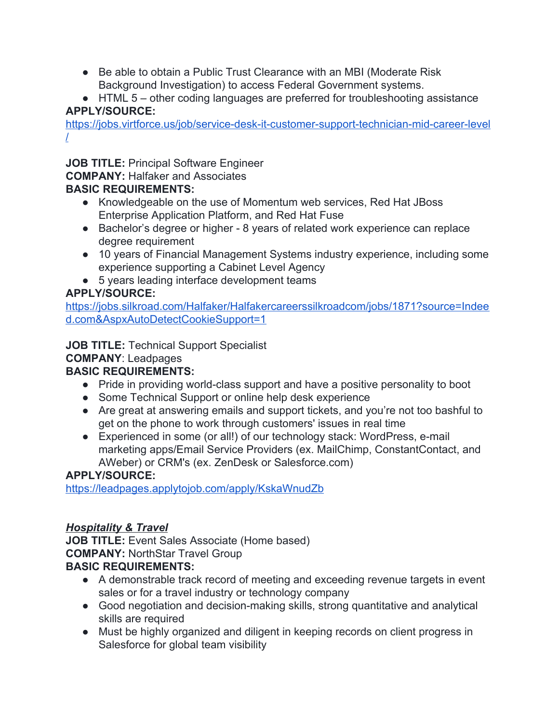- Be able to obtain a Public Trust Clearance with an MBI (Moderate Risk) Background Investigation) to access Federal Government systems.
- HTML 5 other coding languages are preferred for troubleshooting assistance **APPLY/SOURCE:**

[https://jobs.virtforce.us/job/service-desk-it-customer-support-technician-mid-career-level](https://jobs.virtforce.us/job/service-desk-it-customer-support-technician-mid-career-level/) [/](https://jobs.virtforce.us/job/service-desk-it-customer-support-technician-mid-career-level/)

**JOB TITLE:** Principal Software Engineer

**COMPANY:** Halfaker and Associates

# **BASIC REQUIREMENTS:**

- Knowledgeable on the use of Momentum web services, Red Hat JBoss Enterprise Application Platform, and Red Hat Fuse
- Bachelor's degree or higher 8 years of related work experience can replace degree requirement
- 10 years of Financial Management Systems industry experience, including some experience supporting a Cabinet Level Agency
- 5 years leading interface development teams

# **APPLY/SOURCE:**

[https://jobs.silkroad.com/Halfaker/Halfakercareerssilkroadcom/jobs/1871?source=Indee](https://jobs.silkroad.com/Halfaker/Halfakercareerssilkroadcom/jobs/1871?source=Indeed.com&AspxAutoDetectCookieSupport=1) [d.com&AspxAutoDetectCookieSupport=1](https://jobs.silkroad.com/Halfaker/Halfakercareerssilkroadcom/jobs/1871?source=Indeed.com&AspxAutoDetectCookieSupport=1)

**JOB TITLE:** Technical Support Specialist

# **COMPANY**: Leadpages

# **BASIC REQUIREMENTS:**

- Pride in providing world-class support and have a positive personality to boot
- Some Technical Support or online help desk experience
- Are great at answering emails and support tickets, and you're not too bashful to get on the phone to work through customers' issues in real time
- Experienced in some (or all!) of our technology stack: WordPress, e-mail marketing apps/Email Service Providers (ex. MailChimp, ConstantContact, and AWeber) or CRM's (ex. ZenDesk or Salesforce.com)

# **APPLY/SOURCE:**

<https://leadpages.applytojob.com/apply/KskaWnudZb>

# *Hospitality & Travel*

**JOB TITLE:** Event Sales Associate (Home based) **COMPANY:** NorthStar Travel Group **BASIC REQUIREMENTS:**

- A demonstrable track record of meeting and exceeding revenue targets in event sales or for a travel industry or technology company
- Good negotiation and decision-making skills, strong quantitative and analytical skills are required
- Must be highly organized and diligent in keeping records on client progress in Salesforce for global team visibility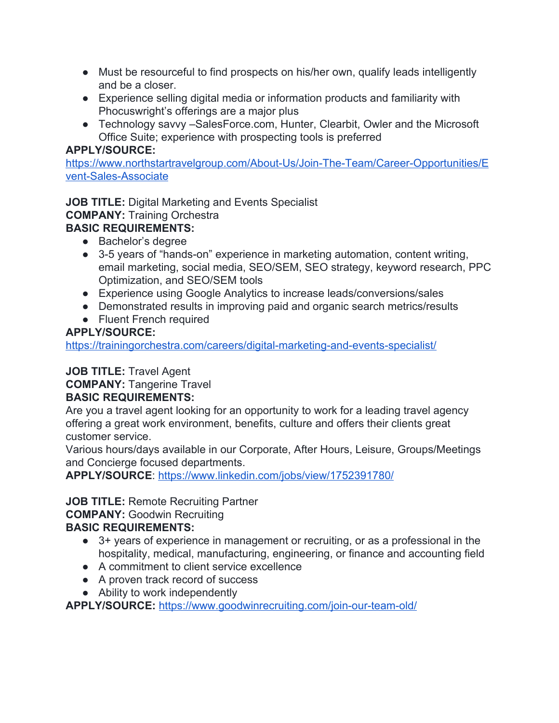- Must be resourceful to find prospects on his/her own, qualify leads intelligently and be a closer.
- Experience selling digital media or information products and familiarity with Phocuswright's offerings are a major plus
- Technology savvy –SalesForce.com, Hunter, Clearbit, Owler and the Microsoft Office Suite; experience with prospecting tools is preferred

[https://www.northstartravelgroup.com/About-Us/Join-The-Team/Career-Opportunities/E](https://www.northstartravelgroup.com/About-Us/Join-The-Team/Career-Opportunities/Event-Sales-Associate) [vent-Sales-Associate](https://www.northstartravelgroup.com/About-Us/Join-The-Team/Career-Opportunities/Event-Sales-Associate)

**JOB TITLE:** Digital Marketing and Events Specialist **COMPANY:** Training Orchestra **BASIC REQUIREMENTS:**

- Bachelor's degree
- 3-5 years of "hands-on" experience in marketing automation, content writing, email marketing, social media, SEO/SEM, SEO strategy, keyword research, PPC Optimization, and SEO/SEM tools
- Experience using Google Analytics to increase leads/conversions/sales
- Demonstrated results in improving paid and organic search metrics/results
- Fluent French required

# **APPLY/SOURCE:**

<https://trainingorchestra.com/careers/digital-marketing-and-events-specialist/>

# **JOB TITLE:** Travel Agent

**COMPANY:** Tangerine Travel

# **BASIC REQUIREMENTS:**

Are you a travel agent looking for an opportunity to work for a leading travel agency offering a great work environment, benefits, culture and offers their clients great customer service.

Various hours/days available in our Corporate, After Hours, Leisure, Groups/Meetings and Concierge focused departments.

**APPLY/SOURCE**:<https://www.linkedin.com/jobs/view/1752391780/>

# **JOB TITLE:** Remote Recruiting Partner

**COMPANY:** Goodwin Recruiting **BASIC REQUIREMENTS:**

#### ● 3+ years of experience in management or recruiting, or as a professional in the hospitality, medical, manufacturing, engineering, or finance and accounting field

- A commitment to client service excellence
- A proven track record of success
- Ability to work independently

**APPLY/SOURCE:** <https://www.goodwinrecruiting.com/join-our-team-old/>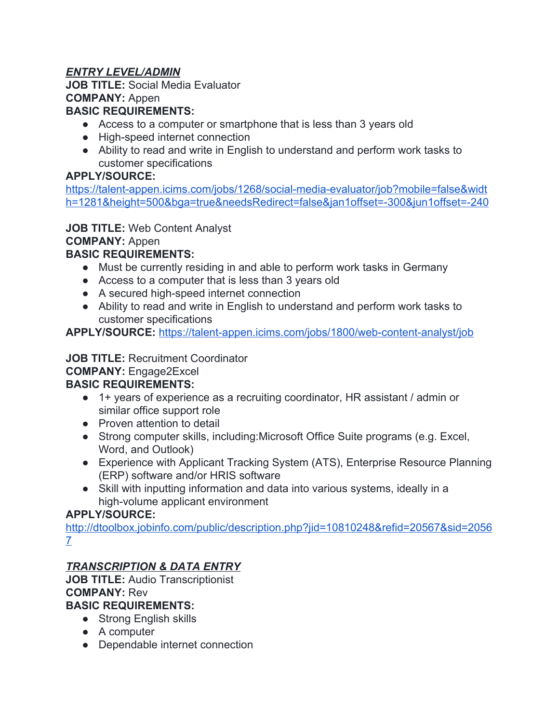# *ENTRY LEVEL/ADMIN*

**JOB TITLE:** Social Media Evaluator **COMPANY:** Appen

#### **BASIC REQUIREMENTS:**

- Access to a computer or smartphone that is less than 3 years old
- High-speed internet connection
- Ability to read and write in English to understand and perform work tasks to customer specifications

#### **APPLY/SOURCE:**

[https://talent-appen.icims.com/jobs/1268/social-media-evaluator/job?mobile=false&widt](https://talent-appen.icims.com/jobs/1268/social-media-evaluator/job?mobile=false&width=1281&height=500&bga=true&needsRedirect=false&jan1offset=-300&jun1offset=-240) [h=1281&height=500&bga=true&needsRedirect=false&jan1offset=-300&jun1offset=-240](https://talent-appen.icims.com/jobs/1268/social-media-evaluator/job?mobile=false&width=1281&height=500&bga=true&needsRedirect=false&jan1offset=-300&jun1offset=-240)

# **JOB TITLE:** Web Content Analyst

**COMPANY:** Appen

# **BASIC REQUIREMENTS:**

- Must be currently residing in and able to perform work tasks in Germany
- Access to a computer that is less than 3 years old
- A secured high-speed internet connection
- Ability to read and write in English to understand and perform work tasks to customer specifications

**APPLY/SOURCE:** <https://talent-appen.icims.com/jobs/1800/web-content-analyst/job>

# **JOB TITLE:** Recruitment Coordinator

# **COMPANY:** Engage2Excel

# **BASIC REQUIREMENTS:**

- 1+ years of experience as a recruiting coordinator, HR assistant / admin or similar office support role
- Proven attention to detail
- Strong computer skills, including:Microsoft Office Suite programs (e.g. Excel, Word, and Outlook)
- Experience with Applicant Tracking System (ATS), Enterprise Resource Planning (ERP) software and/or HRIS software
- Skill with inputting information and data into various systems, ideally in a high-volume applicant environment

# **APPLY/SOURCE:**

[http://dtoolbox.jobinfo.com/public/description.php?jid=10810248&refid=20567&sid=2056](http://dtoolbox.jobinfo.com/public/description.php?jid=10810248&refid=20567&sid=20567) [7](http://dtoolbox.jobinfo.com/public/description.php?jid=10810248&refid=20567&sid=20567)

# *TRANSCRIPTION & DATA ENTRY*

**JOB TITLE:** Audio Transcriptionist **COMPANY:** Rev

- Strong English skills
- A computer
- Dependable internet connection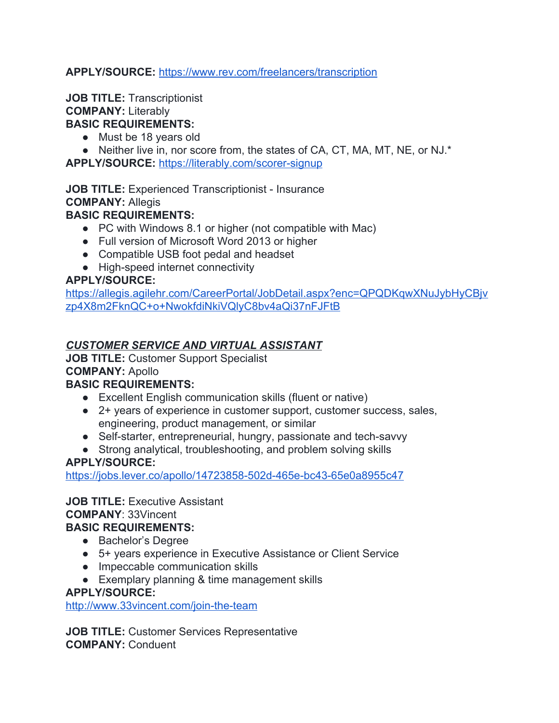#### **APPLY/SOURCE:** <https://www.rev.com/freelancers/transcription>

#### **JOB TITLE:** Transcriptionist **COMPANY:** Literably **BASIC REQUIREMENTS:**

- Must be 18 years old
- Neither live in, nor score from, the states of CA, CT, MA, MT, NE, or NJ.\*

**APPLY/SOURCE:** <https://literably.com/scorer-signup>

**JOB TITLE:** Experienced Transcriptionist - Insurance **COMPANY:** Allegis **BASIC REQUIREMENTS:**

- PC with Windows 8.1 or higher (not compatible with Mac)
- Full version of Microsoft Word 2013 or higher
- Compatible USB foot pedal and headset
- High-speed internet connectivity

#### **APPLY/SOURCE:**

[https://allegis.agilehr.com/CareerPortal/JobDetail.aspx?enc=QPQDKqwXNuJybHyCBjv](https://allegis.agilehr.com/CareerPortal/JobDetail.aspx?enc=QPQDKqwXNuJybHyCBjvzp4X8m2FknQC+o+NwokfdiNkiVQlyC8bv4aQi37nFJFtB) [zp4X8m2FknQC+o+NwokfdiNkiVQlyC8bv4aQi37nFJFtB](https://allegis.agilehr.com/CareerPortal/JobDetail.aspx?enc=QPQDKqwXNuJybHyCBjvzp4X8m2FknQC+o+NwokfdiNkiVQlyC8bv4aQi37nFJFtB)

#### *CUSTOMER SERVICE AND VIRTUAL ASSISTANT*

**JOB TITLE:** Customer Support Specialist **COMPANY:** Apollo

#### **BASIC REQUIREMENTS:**

- Excellent English communication skills (fluent or native)
- 2+ years of experience in customer support, customer success, sales, engineering, product management, or similar
- Self-starter, entrepreneurial, hungry, passionate and tech-savvy
- Strong analytical, troubleshooting, and problem solving skills

#### **APPLY/SOURCE:**

<https://jobs.lever.co/apollo/14723858-502d-465e-bc43-65e0a8955c47>

# **JOB TITLE: Executive Assistant COMPANY**: 33Vincent

#### **BASIC REQUIREMENTS:**

- Bachelor's Degree
- 5+ years experience in Executive Assistance or Client Service
- Impeccable communication skills
- Exemplary planning & time management skills

#### **APPLY/SOURCE:**

<http://www.33vincent.com/join-the-team>

**JOB TITLE:** Customer Services Representative **COMPANY:** Conduent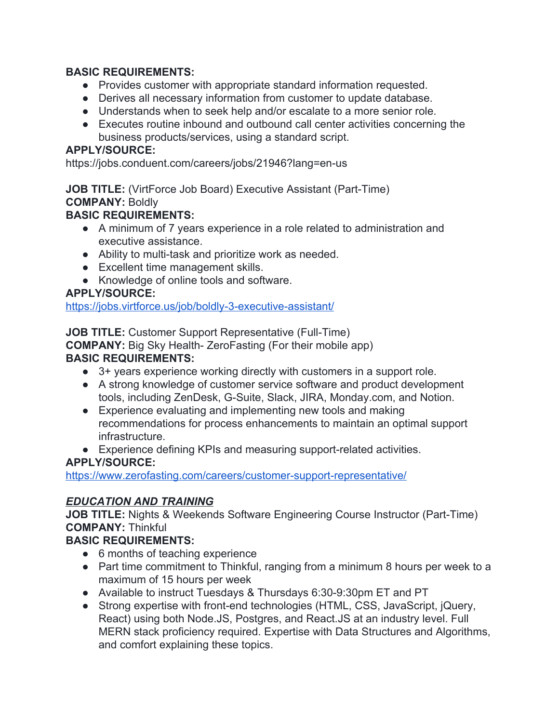#### **BASIC REQUIREMENTS:**

- Provides customer with appropriate standard information requested.
- Derives all necessary information from customer to update database.
- Understands when to seek help and/or escalate to a more senior role.
- Executes routine inbound and outbound call center activities concerning the business products/services, using a standard script.

#### **APPLY/SOURCE:**

https://jobs.conduent.com/careers/jobs/21946?lang=en-us

**JOB TITLE:** (VirtForce Job Board) Executive Assistant (Part-Time) **COMPANY:** Boldly

# **BASIC REQUIREMENTS:**

- A minimum of 7 years experience in a role related to administration and executive assistance.
- Ability to multi-task and prioritize work as needed.
- Excellent time management skills.
- Knowledge of online tools and software.

# **APPLY/SOURCE:**

<https://jobs.virtforce.us/job/boldly-3-executive-assistant/>

**JOB TITLE:** Customer Support Representative (Full-Time)

**COMPANY:** Big Sky Health- ZeroFasting (For their mobile app)

# **BASIC REQUIREMENTS:**

- 3+ years experience working directly with customers in a support role.
- A strong knowledge of customer service software and product development tools, including ZenDesk, G-Suite, Slack, JIRA, Monday.com, and Notion.
- Experience evaluating and implementing new tools and making recommendations for process enhancements to maintain an optimal support infrastructure.
- Experience defining KPIs and measuring support-related activities.

# **APPLY/SOURCE:**

<https://www.zerofasting.com/careers/customer-support-representative/>

# *EDUCATION AND TRAINING*

**JOB TITLE:** Nights & Weekends Software Engineering Course Instructor (Part-Time) **COMPANY:** Thinkful

- 6 months of teaching experience
- Part time commitment to Thinkful, ranging from a minimum 8 hours per week to a maximum of 15 hours per week
- Available to instruct Tuesdays & Thursdays 6:30-9:30pm ET and PT
- Strong expertise with front-end technologies (HTML, CSS, JavaScript, jQuery, React) using both Node.JS, Postgres, and React.JS at an industry level. Full MERN stack proficiency required. Expertise with Data Structures and Algorithms, and comfort explaining these topics.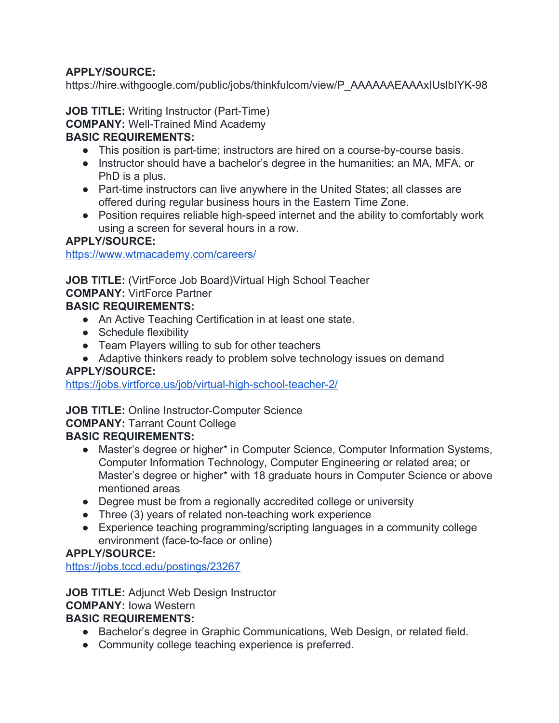https://hire.withgoogle.com/public/jobs/thinkfulcom/view/P\_AAAAAAEAAAxIUslbIYK-98

**JOB TITLE:** Writing Instructor (Part-Time) **COMPANY:** Well-Trained Mind Academy

#### **BASIC REQUIREMENTS:**

- This position is part-time; instructors are hired on a course-by-course basis.
- Instructor should have a bachelor's degree in the humanities; an MA, MFA, or PhD is a plus.
- Part-time instructors can live anywhere in the United States; all classes are offered during regular business hours in the Eastern Time Zone.
- Position requires reliable high-speed internet and the ability to comfortably work using a screen for several hours in a row.

#### **APPLY/SOURCE:**

<https://www.wtmacademy.com/careers/>

**JOB TITLE:** (VirtForce Job Board)Virtual High School Teacher **COMPANY:** VirtForce Partner **BASIC REQUIREMENTS:**

- An Active Teaching Certification in at least one state.
- Schedule flexibility
- Team Players willing to sub for other teachers
- Adaptive thinkers ready to problem solve technology issues on demand

#### **APPLY/SOURCE:**

<https://jobs.virtforce.us/job/virtual-high-school-teacher-2/>

**JOB TITLE:** Online Instructor-Computer Science

**COMPANY:** Tarrant Count College

#### **BASIC REQUIREMENTS:**

- Master's degree or higher\* in Computer Science, Computer Information Systems, Computer Information Technology, Computer Engineering or related area; or Master's degree or higher\* with 18 graduate hours in Computer Science or above mentioned areas
- Degree must be from a regionally accredited college or university
- Three (3) years of related non-teaching work experience
- Experience teaching programming/scripting languages in a community college environment (face-to-face or online)

#### **APPLY/SOURCE:**

<https://jobs.tccd.edu/postings/23267>

**JOB TITLE:** Adjunct Web Design Instructor

**COMPANY:** Iowa Western

- Bachelor's degree in Graphic Communications, Web Design, or related field.
- Community college teaching experience is preferred.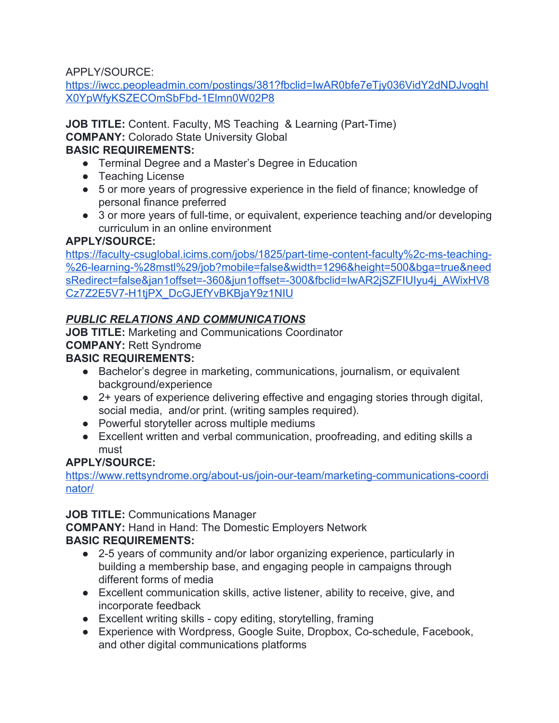[https://iwcc.peopleadmin.com/postings/381?fbclid=IwAR0bfe7eTjy036VidY2dNDJvoghI](https://iwcc.peopleadmin.com/postings/381?fbclid=IwAR0bfe7eTjy036VidY2dNDJvoghIX0YpWfyKSZECOmSbFbd-1Elmn0W02P8) [X0YpWfyKSZECOmSbFbd-1Elmn0W02P8](https://iwcc.peopleadmin.com/postings/381?fbclid=IwAR0bfe7eTjy036VidY2dNDJvoghIX0YpWfyKSZECOmSbFbd-1Elmn0W02P8)

**JOB TITLE:** Content. Faculty, MS Teaching & Learning (Part-Time) **COMPANY:** Colorado State University Global

# **BASIC REQUIREMENTS:**

- Terminal Degree and a Master's Degree in Education
- Teaching License
- 5 or more years of progressive experience in the field of finance; knowledge of personal finance preferred
- 3 or more years of full-time, or equivalent, experience teaching and/or developing curriculum in an online environment

# **APPLY/SOURCE:**

[https://faculty-csuglobal.icims.com/jobs/1825/part-time-content-faculty%2c-ms-teaching-](https://faculty-csuglobal.icims.com/jobs/1825/part-time-content-faculty%2c-ms-teaching-%26-learning-%28mstl%29/job?mobile=false&width=1296&height=500&bga=true&needsRedirect=false&jan1offset=-360&jun1offset=-300&fbclid=IwAR2jSZFIUIyu4j_AWixHV8Cz7Z2E5V7-H1tjPX_DcGJEfYvBKBjaY9z1NIU) [%26-learning-%28mstl%29/job?mobile=false&width=1296&height=500&bga=true&need](https://faculty-csuglobal.icims.com/jobs/1825/part-time-content-faculty%2c-ms-teaching-%26-learning-%28mstl%29/job?mobile=false&width=1296&height=500&bga=true&needsRedirect=false&jan1offset=-360&jun1offset=-300&fbclid=IwAR2jSZFIUIyu4j_AWixHV8Cz7Z2E5V7-H1tjPX_DcGJEfYvBKBjaY9z1NIU) [sRedirect=false&jan1offset=-360&jun1offset=-300&fbclid=IwAR2jSZFIUIyu4j\\_AWixHV8](https://faculty-csuglobal.icims.com/jobs/1825/part-time-content-faculty%2c-ms-teaching-%26-learning-%28mstl%29/job?mobile=false&width=1296&height=500&bga=true&needsRedirect=false&jan1offset=-360&jun1offset=-300&fbclid=IwAR2jSZFIUIyu4j_AWixHV8Cz7Z2E5V7-H1tjPX_DcGJEfYvBKBjaY9z1NIU) [Cz7Z2E5V7-H1tjPX\\_DcGJEfYvBKBjaY9z1NIU](https://faculty-csuglobal.icims.com/jobs/1825/part-time-content-faculty%2c-ms-teaching-%26-learning-%28mstl%29/job?mobile=false&width=1296&height=500&bga=true&needsRedirect=false&jan1offset=-360&jun1offset=-300&fbclid=IwAR2jSZFIUIyu4j_AWixHV8Cz7Z2E5V7-H1tjPX_DcGJEfYvBKBjaY9z1NIU)

# *PUBLIC RELATIONS AND COMMUNICATIONS*

**JOB TITLE:** Marketing and Communications Coordinator **COMPANY:** Rett Syndrome

# **BASIC REQUIREMENTS:**

- Bachelor's degree in marketing, communications, journalism, or equivalent background/experience
- 2+ years of experience delivering effective and engaging stories through digital, social media, and/or print. (writing samples required).
- Powerful storyteller across multiple mediums
- Excellent written and verbal communication, proofreading, and editing skills a must

# **APPLY/SOURCE:**

[https://www.rettsyndrome.org/about-us/join-our-team/marketing-communications-coordi](https://www.rettsyndrome.org/about-us/join-our-team/marketing-communications-coordinator/) [nator/](https://www.rettsyndrome.org/about-us/join-our-team/marketing-communications-coordinator/)

# **JOB TITLE:** Communications Manager

**COMPANY:** Hand in Hand: The Domestic Employers Network **BASIC REQUIREMENTS:**

- 2-5 years of community and/or labor organizing experience, particularly in building a membership base, and engaging people in campaigns through different forms of media
- Excellent communication skills, active listener, ability to receive, give, and incorporate feedback
- Excellent writing skills copy editing, storytelling, framing
- Experience with Wordpress, Google Suite, Dropbox, Co-schedule, Facebook, and other digital communications platforms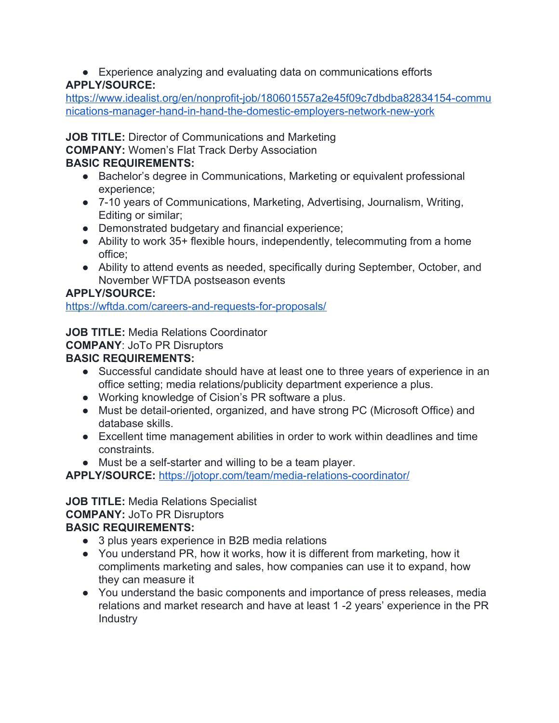• Experience analyzing and evaluating data on communications efforts **APPLY/SOURCE:**

[https://www.idealist.org/en/nonprofit-job/180601557a2e45f09c7dbdba82834154-commu](https://www.idealist.org/en/nonprofit-job/180601557a2e45f09c7dbdba82834154-communications-manager-hand-in-hand-the-domestic-employers-network-new-york) [nications-manager-hand-in-hand-the-domestic-employers-network-new-york](https://www.idealist.org/en/nonprofit-job/180601557a2e45f09c7dbdba82834154-communications-manager-hand-in-hand-the-domestic-employers-network-new-york)

**JOB TITLE:** Director of Communications and Marketing

**COMPANY:** Women's Flat Track Derby Association

# **BASIC REQUIREMENTS:**

- Bachelor's degree in Communications, Marketing or equivalent professional experience;
- 7-10 years of Communications, Marketing, Advertising, Journalism, Writing, Editing or similar;
- Demonstrated budgetary and financial experience;
- Ability to work 35+ flexible hours, independently, telecommuting from a home office;
- Ability to attend events as needed, specifically during September, October, and November WFTDA postseason events

# **APPLY/SOURCE:**

<https://wftda.com/careers-and-requests-for-proposals/>

**JOB TITLE:** Media Relations Coordinator

# **COMPANY**: JoTo PR Disruptors

# **BASIC REQUIREMENTS:**

- Successful candidate should have at least one to three years of experience in an office setting; media relations/publicity department experience a plus.
- Working knowledge of Cision's PR software a plus.
- Must be detail-oriented, organized, and have strong PC (Microsoft Office) and database skills.
- Excellent time management abilities in order to work within deadlines and time constraints.
- Must be a self-starter and willing to be a team player.

**APPLY/SOURCE:** <https://jotopr.com/team/media-relations-coordinator/>

#### **JOB TITLE:** Media Relations Specialist **COMPANY:** JoTo PR Disruptors **BASIC REQUIREMENTS:**

- 3 plus years experience in B2B media relations
- You understand PR, how it works, how it is different from marketing, how it compliments marketing and sales, how companies can use it to expand, how they can measure it
- You understand the basic components and importance of press releases, media relations and market research and have at least 1 -2 years' experience in the PR Industry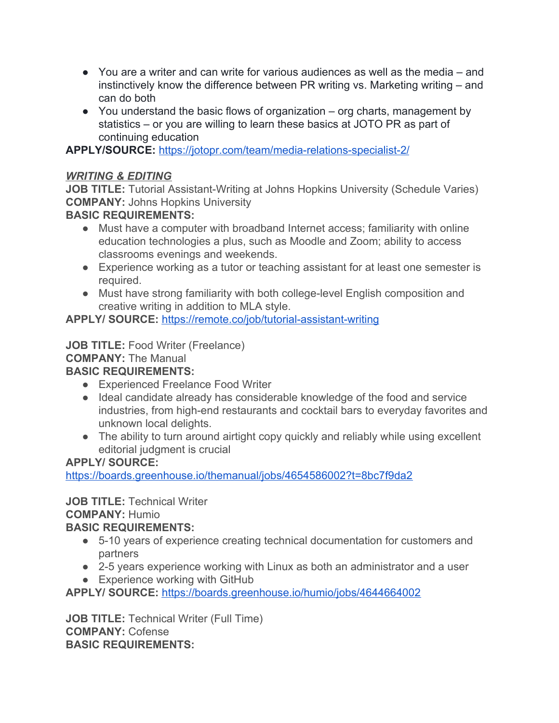- You are a writer and can write for various audiences as well as the media and instinctively know the difference between PR writing vs. Marketing writing – and can do both
- You understand the basic flows of organization org charts, management by statistics – or you are willing to learn these basics at JOTO PR as part of continuing education

**APPLY/SOURCE:** <https://jotopr.com/team/media-relations-specialist-2/>

### *WRITING & EDITING*

**JOB TITLE:** Tutorial Assistant-Writing at Johns Hopkins University (Schedule Varies) **COMPANY:** Johns Hopkins University

# **BASIC REQUIREMENTS:**

- Must have a computer with broadband Internet access; familiarity with online education technologies a plus, such as Moodle and Zoom; ability to access classrooms evenings and weekends.
- Experience working as a tutor or teaching assistant for at least one semester is required.
- Must have strong familiarity with both college-level English composition and creative writing in addition to MLA style.

**APPLY/ SOURCE:** <https://remote.co/job/tutorial-assistant-writing>

**JOB TITLE:** Food Writer (Freelance)

#### **COMPANY:** The Manual

# **BASIC REQUIREMENTS:**

- Experienced Freelance Food Writer
- Ideal candidate already has considerable knowledge of the food and service industries, from high-end restaurants and cocktail bars to everyday favorites and unknown local delights.
- The ability to turn around airtight copy quickly and reliably while using excellent editorial judgment is crucial

# **APPLY/ SOURCE:**

<https://boards.greenhouse.io/themanual/jobs/4654586002?t=8bc7f9da2>

#### **JOB TITLE:** Technical Writer **COMPANY:** Humio

# **BASIC REQUIREMENTS:**

- 5-10 years of experience creating technical documentation for customers and partners
- 2-5 years experience working with Linux as both an administrator and a user
- Experience working with GitHub

**APPLY/ SOURCE:** <https://boards.greenhouse.io/humio/jobs/4644664002>

**JOB TITLE:** Technical Writer (Full Time) **COMPANY:** Cofense **BASIC REQUIREMENTS:**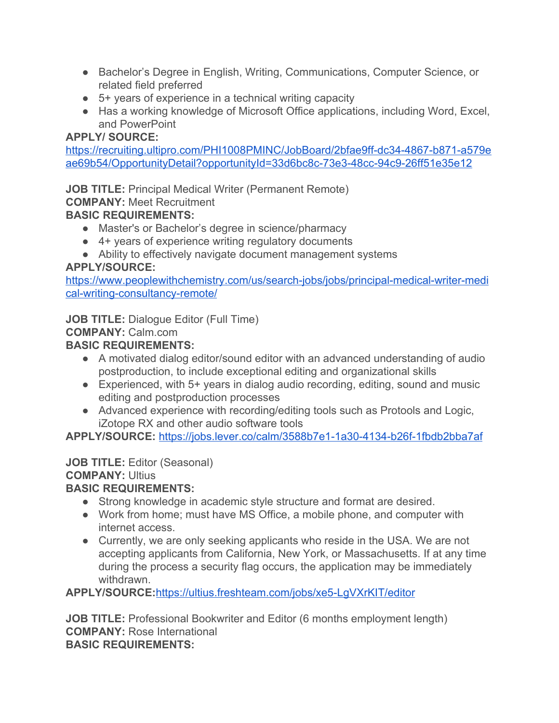- Bachelor's Degree in English, Writing, Communications, Computer Science, or related field preferred
- 5+ years of experience in a technical writing capacity
- Has a working knowledge of Microsoft Office applications, including Word, Excel, and PowerPoint

[https://recruiting.ultipro.com/PHI1008PMINC/JobBoard/2bfae9ff-dc34-4867-b871-a579e](https://recruiting.ultipro.com/PHI1008PMINC/JobBoard/2bfae9ff-dc34-4867-b871-a579eae69b54/OpportunityDetail?opportunityId=33d6bc8c-73e3-48cc-94c9-26ff51e35e12) [ae69b54/OpportunityDetail?opportunityId=33d6bc8c-73e3-48cc-94c9-26ff51e35e12](https://recruiting.ultipro.com/PHI1008PMINC/JobBoard/2bfae9ff-dc34-4867-b871-a579eae69b54/OpportunityDetail?opportunityId=33d6bc8c-73e3-48cc-94c9-26ff51e35e12)

**JOB TITLE:** Principal Medical Writer (Permanent Remote)

**COMPANY:** Meet Recruitment

# **BASIC REQUIREMENTS:**

- Master's or Bachelor's degree in science/pharmacy
- 4+ years of experience writing regulatory documents
- Ability to effectively navigate document management systems

# **APPLY/SOURCE:**

[https://www.peoplewithchemistry.com/us/search-jobs/jobs/principal-medical-writer-medi](https://www.peoplewithchemistry.com/us/search-jobs/jobs/principal-medical-writer-medical-writing-consultancy-remote/) [cal-writing-consultancy-remote/](https://www.peoplewithchemistry.com/us/search-jobs/jobs/principal-medical-writer-medical-writing-consultancy-remote/)

**JOB TITLE:** Dialogue Editor (Full Time)

# **COMPANY:** Calm.com

# **BASIC REQUIREMENTS:**

- A motivated dialog editor/sound editor with an advanced understanding of audio postproduction, to include exceptional editing and organizational skills
- Experienced, with 5+ years in dialog audio recording, editing, sound and music editing and postproduction processes
- Advanced experience with recording/editing tools such as Protools and Logic, iZotope RX and other audio software tools

**APPLY/SOURCE:** <https://jobs.lever.co/calm/3588b7e1-1a30-4134-b26f-1fbdb2bba7af>

# **JOB TITLE:** Editor (Seasonal)

# **COMPANY:** Ultius

# **BASIC REQUIREMENTS:**

- Strong knowledge in academic style structure and format are desired.
- Work from home; must have MS Office, a mobile phone, and computer with internet access.
- Currently, we are only seeking applicants who reside in the USA. We are not accepting applicants from California, New York, or Massachusetts. If at any time during the process a security flag occurs, the application may be immediately withdrawn.

**APPLY/SOURCE:**<https://ultius.freshteam.com/jobs/xe5-LgVXrKIT/editor>

**JOB TITLE:** Professional Bookwriter and Editor (6 months employment length) **COMPANY:** Rose International **BASIC REQUIREMENTS:**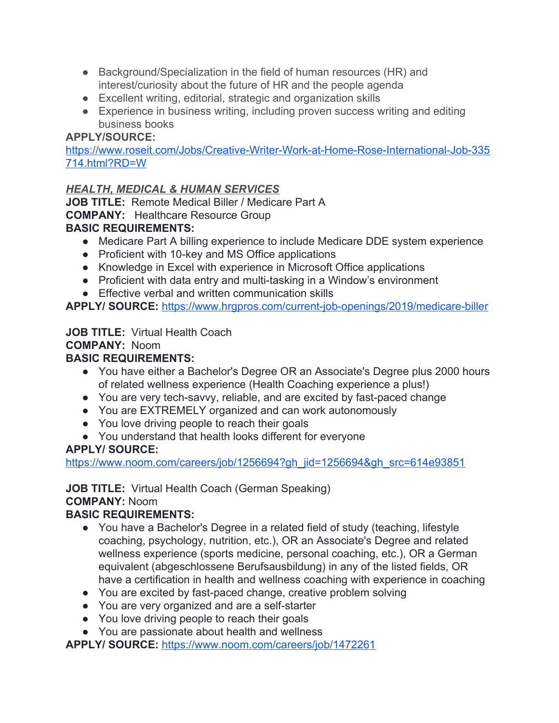- Background/Specialization in the field of human resources (HR) and interest/curiosity about the future of HR and the people agenda
- Excellent writing, editorial, strategic and organization skills
- Experience in business writing, including proven success writing and editing business books

[https://www.roseit.com/Jobs/Creative-Writer-Work-at-Home-Rose-International-Job-335](https://www.roseit.com/Jobs/Creative-Writer-Work-at-Home-Rose-International-Job-335714.html?RD=W) [714.html?RD=W](https://www.roseit.com/Jobs/Creative-Writer-Work-at-Home-Rose-International-Job-335714.html?RD=W)

#### *HEALTH, MEDICAL & HUMAN SERVICES*

**JOB TITLE:** Remote Medical Biller / Medicare Part A **COMPANY:** Healthcare Resource Group **BASIC REQUIREMENTS:**

- Medicare Part A billing experience to include Medicare DDE system experience
- Proficient with 10-key and MS Office applications
- Knowledge in Excel with experience in Microsoft Office applications
- Proficient with data entry and multi-tasking in a Window's environment
- Effective verbal and written communication skills

**APPLY/ SOURCE:** <https://www.hrgpros.com/current-job-openings/2019/medicare-biller>

# **JOB TITLE:** Virtual Health Coach

# **COMPANY:** Noom

#### **BASIC REQUIREMENTS:**

- You have either a Bachelor's Degree OR an Associate's Degree plus 2000 hours of related wellness experience (Health Coaching experience a plus!)
- You are very tech-savvy, reliable, and are excited by fast-paced change
- You are EXTREMELY organized and can work autonomously
- You love driving people to reach their goals
- You understand that health looks different for everyone

# **APPLY/ SOURCE:**

[https://www.noom.com/careers/job/1256694?gh\\_jid=1256694&gh\\_src=614e93851](https://www.noom.com/careers/job/1256694?gh_jid=1256694&gh_src=614e93851)

# **JOB TITLE:** Virtual Health Coach (German Speaking)

#### **COMPANY:** Noom

# **BASIC REQUIREMENTS:**

- You have a Bachelor's Degree in a related field of study (teaching, lifestyle coaching, psychology, nutrition, etc.), OR an Associate's Degree and related wellness experience (sports medicine, personal coaching, etc.), OR a German equivalent (abgeschlossene Berufsausbildung) in any of the listed fields, OR have a certification in health and wellness coaching with experience in coaching
- You are excited by fast-paced change, creative problem solving
- You are very organized and are a self-starter
- You love driving people to reach their goals
- You are passionate about health and wellness

**APPLY/ SOURCE:** <https://www.noom.com/careers/job/1472261>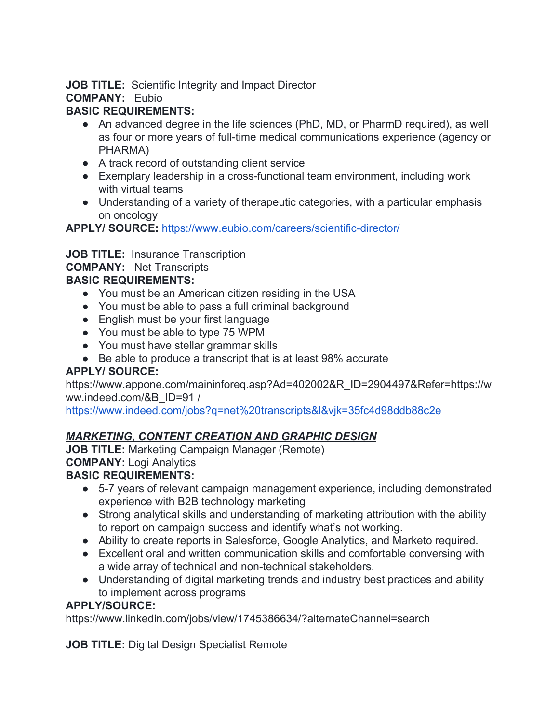**JOB TITLE:** Scientific Integrity and Impact Director

**COMPANY:** Eubio

# **BASIC REQUIREMENTS:**

- An advanced degree in the life sciences (PhD, MD, or PharmD required), as well as four or more years of full-time medical communications experience (agency or PHARMA)
- A track record of outstanding client service
- Exemplary leadership in a cross-functional team environment, including work with virtual teams
- Understanding of a variety of therapeutic categories, with a particular emphasis on oncology

**APPLY/ SOURCE:** <https://www.eubio.com/careers/scientific-director/>

# **JOB TITLE:** Insurance Transcription

# **COMPANY:** Net Transcripts

# **BASIC REQUIREMENTS:**

- You must be an American citizen residing in the USA
- You must be able to pass a full criminal background
- English must be your first language
- You must be able to type 75 WPM
- You must have stellar grammar skills
- Be able to produce a transcript that is at least 98% accurate

# **APPLY/ SOURCE:**

https://www.appone.com/maininforeq.asp?Ad=402002&R\_ID=2904497&Refer=https://w ww.indeed.com/&B\_ID=91 /

<https://www.indeed.com/jobs?q=net%20transcripts&l&vjk=35fc4d98ddb88c2e>

# *MARKETING, CONTENT CREATION AND GRAPHIC DESIGN*

**JOB TITLE:** Marketing Campaign Manager (Remote) **COMPANY:** Logi Analytics

# **BASIC REQUIREMENTS:**

- 5-7 years of relevant campaign management experience, including demonstrated experience with B2B technology marketing
- Strong analytical skills and understanding of marketing attribution with the ability to report on campaign success and identify what's not working.
- Ability to create reports in Salesforce, Google Analytics, and Marketo required.
- Excellent oral and written communication skills and comfortable conversing with a wide array of technical and non-technical stakeholders.
- Understanding of digital marketing trends and industry best practices and ability to implement across programs

# **APPLY/SOURCE:**

https://www.linkedin.com/jobs/view/1745386634/?alternateChannel=search

**JOB TITLE:** Digital Design Specialist Remote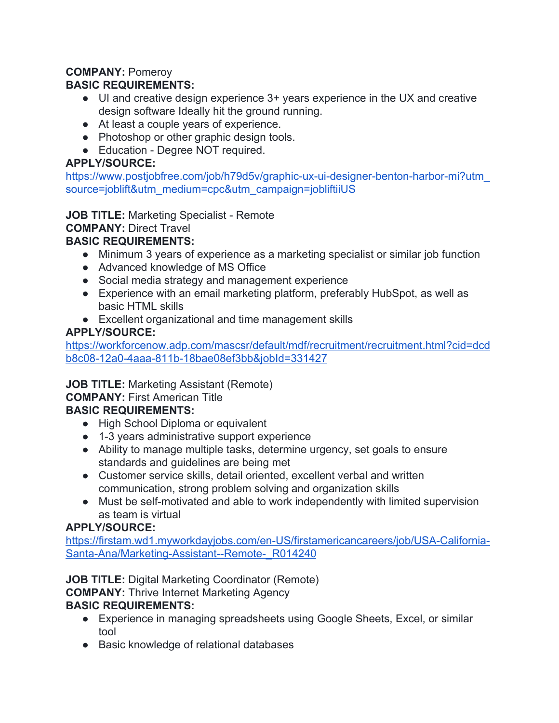# **COMPANY:** Pomeroy

# **BASIC REQUIREMENTS:**

- UI and creative design experience 3+ years experience in the UX and creative design software Ideally hit the ground running.
- At least a couple years of experience.
- Photoshop or other graphic design tools.
- Education Degree NOT required.

#### **APPLY/SOURCE:**

[https://www.postjobfree.com/job/h79d5v/graphic-ux-ui-designer-benton-harbor-mi?utm\\_](https://www.postjobfree.com/job/h79d5v/graphic-ux-ui-designer-benton-harbor-mi?utm_source=joblift&utm_medium=cpc&utm_campaign=jobliftiiUS) [source=joblift&utm\\_medium=cpc&utm\\_campaign=jobliftiiUS](https://www.postjobfree.com/job/h79d5v/graphic-ux-ui-designer-benton-harbor-mi?utm_source=joblift&utm_medium=cpc&utm_campaign=jobliftiiUS)

**JOB TITLE:** Marketing Specialist - Remote

#### **COMPANY:** Direct Travel

#### **BASIC REQUIREMENTS:**

- Minimum 3 years of experience as a marketing specialist or similar job function
- Advanced knowledge of MS Office
- Social media strategy and management experience
- Experience with an email marketing platform, preferably HubSpot, as well as basic HTML skills
- Excellent organizational and time management skills

#### **APPLY/SOURCE:**

[https://workforcenow.adp.com/mascsr/default/mdf/recruitment/recruitment.html?cid=dcd](https://workforcenow.adp.com/mascsr/default/mdf/recruitment/recruitment.html?cid=dcdb8c08-12a0-4aaa-811b-18bae08ef3bb&jobId=331427) [b8c08-12a0-4aaa-811b-18bae08ef3bb&jobId=331427](https://workforcenow.adp.com/mascsr/default/mdf/recruitment/recruitment.html?cid=dcdb8c08-12a0-4aaa-811b-18bae08ef3bb&jobId=331427)

#### **JOB TITLE:** Marketing Assistant (Remote)

**COMPANY:** First American Title

# **BASIC REQUIREMENTS:**

- High School Diploma or equivalent
- 1-3 years administrative support experience
- Ability to manage multiple tasks, determine urgency, set goals to ensure standards and guidelines are being met
- Customer service skills, detail oriented, excellent verbal and written communication, strong problem solving and organization skills
- Must be self-motivated and able to work independently with limited supervision as team is virtual

# **APPLY/SOURCE:**

[https://firstam.wd1.myworkdayjobs.com/en-US/firstamericancareers/job/USA-California-](https://firstam.wd1.myworkdayjobs.com/en-US/firstamericancareers/job/USA-California-Santa-Ana/Marketing-Assistant--Remote-_R014240)[Santa-Ana/Marketing-Assistant--Remote-\\_R014240](https://firstam.wd1.myworkdayjobs.com/en-US/firstamericancareers/job/USA-California-Santa-Ana/Marketing-Assistant--Remote-_R014240)

**JOB TITLE:** Digital Marketing Coordinator (Remote)

**COMPANY:** Thrive Internet Marketing Agency

- Experience in managing spreadsheets using Google Sheets, Excel, or similar tool
- Basic knowledge of relational databases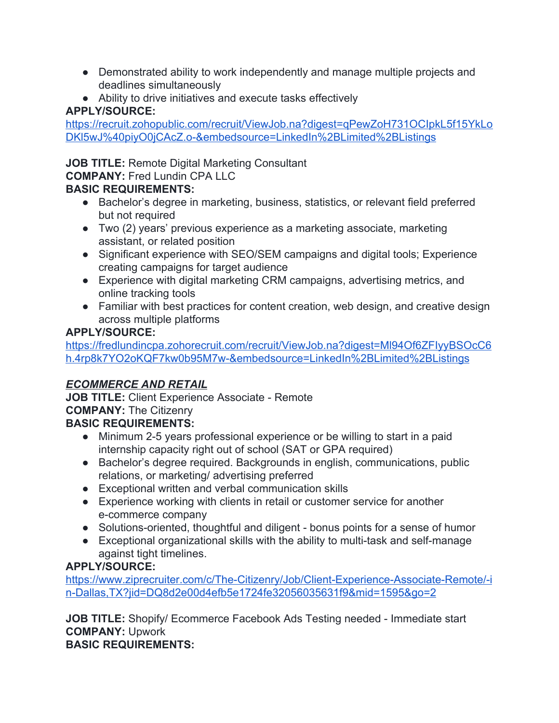- Demonstrated ability to work independently and manage multiple projects and deadlines simultaneously
- Ability to drive initiatives and execute tasks effectively

[https://recruit.zohopublic.com/recruit/ViewJob.na?digest=qPewZoH731OCIpkL5f15YkLo](https://recruit.zohopublic.com/recruit/ViewJob.na?digest=qPewZoH731OCIpkL5f15YkLoDKl5wJ%40piyO0jCAcZ.o-&embedsource=LinkedIn%2BLimited%2BListings) [DKl5wJ%40piyO0jCAcZ.o-&embedsource=LinkedIn%2BLimited%2BListings](https://recruit.zohopublic.com/recruit/ViewJob.na?digest=qPewZoH731OCIpkL5f15YkLoDKl5wJ%40piyO0jCAcZ.o-&embedsource=LinkedIn%2BLimited%2BListings)

**JOB TITLE:** Remote Digital Marketing Consultant

**COMPANY:** Fred Lundin CPA LLC

# **BASIC REQUIREMENTS:**

- Bachelor's degree in marketing, business, statistics, or relevant field preferred but not required
- Two (2) years' previous experience as a marketing associate, marketing assistant, or related position
- Significant experience with SEO/SEM campaigns and digital tools; Experience creating campaigns for target audience
- Experience with digital marketing CRM campaigns, advertising metrics, and online tracking tools
- Familiar with best practices for content creation, web design, and creative design across multiple platforms

# **APPLY/SOURCE:**

[https://fredlundincpa.zohorecruit.com/recruit/ViewJob.na?digest=Ml94Of6ZFIyyBSOcC6](https://fredlundincpa.zohorecruit.com/recruit/ViewJob.na?digest=Ml94Of6ZFIyyBSOcC6h.4rp8k7YO2oKQF7kw0b95M7w-&embedsource=LinkedIn%2BLimited%2BListings) [h.4rp8k7YO2oKQF7kw0b95M7w-&embedsource=LinkedIn%2BLimited%2BListings](https://fredlundincpa.zohorecruit.com/recruit/ViewJob.na?digest=Ml94Of6ZFIyyBSOcC6h.4rp8k7YO2oKQF7kw0b95M7w-&embedsource=LinkedIn%2BLimited%2BListings)

# *ECOMMERCE AND RETAIL*

**JOB TITLE:** Client Experience Associate - Remote **COMPANY:** The Citizenry **BASIC REQUIREMENTS:**

- Minimum 2-5 years professional experience or be willing to start in a paid internship capacity right out of school (SAT or GPA required)
- Bachelor's degree required. Backgrounds in english, communications, public relations, or marketing/ advertising preferred
- Exceptional written and verbal communication skills
- Experience working with clients in retail or customer service for another e-commerce company
- Solutions-oriented, thoughtful and diligent bonus points for a sense of humor
- Exceptional organizational skills with the ability to multi-task and self-manage against tight timelines.

# **APPLY/SOURCE:**

[https://www.ziprecruiter.com/c/The-Citizenry/Job/Client-Experience-Associate-Remote/-i](https://www.ziprecruiter.com/c/The-Citizenry/Job/Client-Experience-Associate-Remote/-in-Dallas,TX?jid=DQ8d2e00d4efb5e1724fe32056035631f9&mid=1595&go=2) [n-Dallas,TX?jid=DQ8d2e00d4efb5e1724fe32056035631f9&mid=1595&go=2](https://www.ziprecruiter.com/c/The-Citizenry/Job/Client-Experience-Associate-Remote/-in-Dallas,TX?jid=DQ8d2e00d4efb5e1724fe32056035631f9&mid=1595&go=2)

**JOB TITLE:** Shopify/ Ecommerce Facebook Ads Testing needed - Immediate start **COMPANY:** Upwork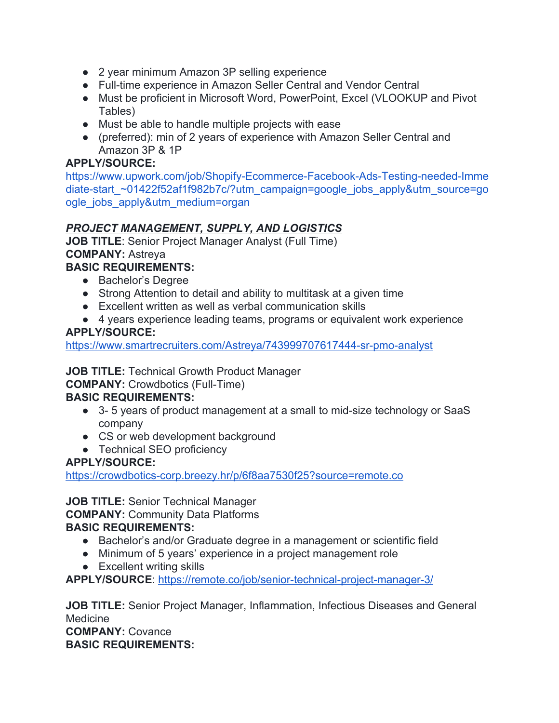- 2 year minimum Amazon 3P selling experience
- Full-time experience in Amazon Seller Central and Vendor Central
- Must be proficient in Microsoft Word, PowerPoint, Excel (VLOOKUP and Pivot Tables)
- Must be able to handle multiple projects with ease
- (preferred): min of 2 years of experience with Amazon Seller Central and Amazon 3P & 1P

[https://www.upwork.com/job/Shopify-Ecommerce-Facebook-Ads-Testing-needed-Imme](https://www.upwork.com/job/Shopify-Ecommerce-Facebook-Ads-Testing-needed-Immediate-start_~01422f52af1f982b7c/?utm_campaign=google_jobs_apply&utm_source=google_jobs_apply&utm_medium=organ) diate-start ~01422f52af1f982b7c/?utm\_campaign=google\_jobs\_apply&utm\_source=go [ogle\\_jobs\\_apply&utm\\_medium=organ](https://www.upwork.com/job/Shopify-Ecommerce-Facebook-Ads-Testing-needed-Immediate-start_~01422f52af1f982b7c/?utm_campaign=google_jobs_apply&utm_source=google_jobs_apply&utm_medium=organ)

# *PROJECT MANAGEMENT, SUPPLY, AND LOGISTICS*

**JOB TITLE**: Senior Project Manager Analyst (Full Time) **COMPANY:** Astreya

# **BASIC REQUIREMENTS:**

- Bachelor's Degree
- Strong Attention to detail and ability to multitask at a given time
- Excellent written as well as verbal communication skills
- 4 years experience leading teams, programs or equivalent work experience

#### **APPLY/SOURCE:**

<https://www.smartrecruiters.com/Astreya/743999707617444-sr-pmo-analyst>

**JOB TITLE:** Technical Growth Product Manager

**COMPANY:** Crowdbotics (Full-Time)

#### **BASIC REQUIREMENTS:**

- 3-5 years of product management at a small to mid-size technology or SaaS company
- CS or web development background
- Technical SEO proficiency

#### **APPLY/SOURCE:**

<https://crowdbotics-corp.breezy.hr/p/6f8aa7530f25?source=remote.co>

#### **JOB TITLE:** Senior Technical Manager

**COMPANY:** Community Data Platforms

#### **BASIC REQUIREMENTS:**

- Bachelor's and/or Graduate degree in a management or scientific field
- Minimum of 5 years' experience in a project management role
- Excellent writing skills

**APPLY/SOURCE**:<https://remote.co/job/senior-technical-project-manager-3/>

**JOB TITLE:** Senior Project Manager, Inflammation, Infectious Diseases and General Medicine

**COMPANY:** Covance **BASIC REQUIREMENTS:**